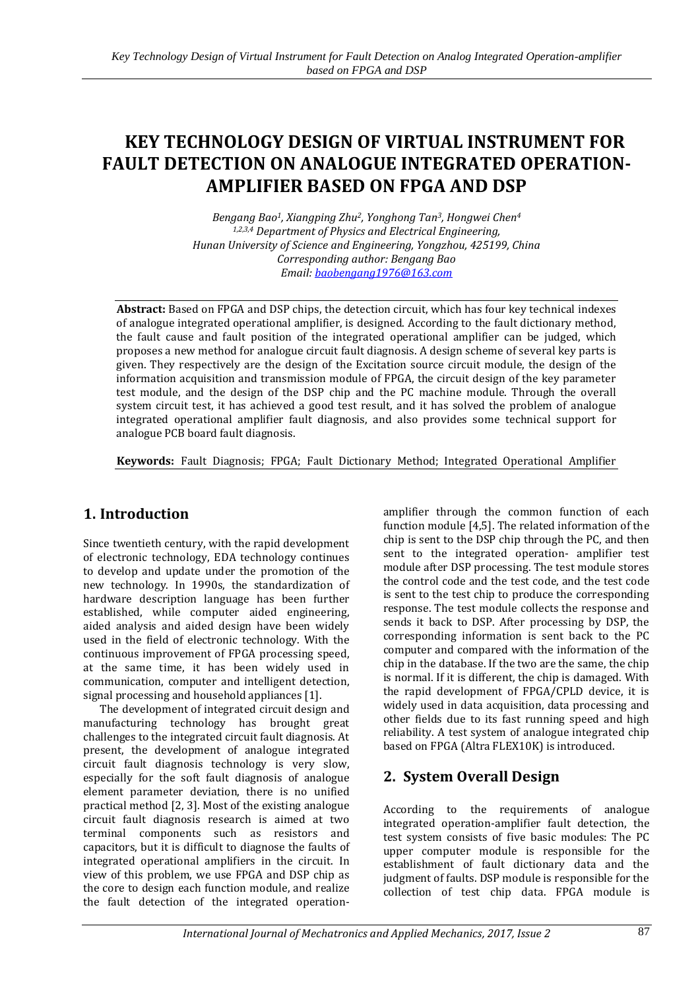# **KEY TECHNOLOGY DESIGN OF VIRTUAL INSTRUMENT FOR FAULT DETECTION ON ANALOGUE INTEGRATED OPERATION-AMPLIFIER BASED ON FPGA AND DSP**

*Bengang Bao1, Xiangping Zhu2, Yonghong Tan3, Hongwei Chen<sup>4</sup> 1,2,3,4 Department of Physics and Electrical Engineering, Hunan University of Science and Engineering, Yongzhou, 425199, China Corresponding author: Bengang Bao Email: [baobengang1976@163.com](mailto:baobengang1976@163.com)*

**Abstract:** Based on FPGA and DSP chips, the detection circuit, which has four key technical indexes of analogue integrated operational amplifier, is designed. According to the fault dictionary method, the fault cause and fault position of the integrated operational amplifier can be judged, which proposes a new method for analogue circuit fault diagnosis. A design scheme of several key parts is given. They respectively are the design of the Excitation source circuit module, the design of the information acquisition and transmission module of FPGA, the circuit design of the key parameter test module, and the design of the DSP chip and the PC machine module. Through the overall system circuit test, it has achieved a good test result, and it has solved the problem of analogue integrated operational amplifier fault diagnosis, and also provides some technical support for analogue PCB board fault diagnosis.

**Keywords:** Fault Diagnosis; FPGA; Fault Dictionary Method; Integrated Operational Amplifier

# **1. Introduction**

Since twentieth century, with the rapid development of electronic technology, EDA technology continues to develop and update under the promotion of the new technology. In 1990s, the standardization of hardware description language has been further established, while computer aided engineering, aided analysis and aided design have been widely used in the field of electronic technology. With the continuous improvement of FPGA processing speed, at the same time, it has been widely used in communication, computer and intelligent detection, signal processing and household appliances [1].

The development of integrated circuit design and manufacturing technology has brought great challenges to the integrated circuit fault diagnosis. At present, the development of analogue integrated circuit fault diagnosis technology is very slow, especially for the soft fault diagnosis of analogue element parameter deviation, there is no unified practical method [2, 3]. Most of the existing analogue circuit fault diagnosis research is aimed at two terminal components such as resistors and capacitors, but it is difficult to diagnose the faults of integrated operational amplifiers in the circuit. In view of this problem, we use FPGA and DSP chip as the core to design each function module, and realize the fault detection of the integrated operationamplifier through the common function of each function module [4,5]. The related information of the chip is sent to the DSP chip through the PC, and then sent to the integrated operation- amplifier test module after DSP processing. The test module stores the control code and the test code, and the test code is sent to the test chip to produce the corresponding response. The test module collects the response and sends it back to DSP. After processing by DSP, the corresponding information is sent back to the PC computer and compared with the information of the chip in the database. If the two are the same, the chip is normal. If it is different, the chip is damaged. With the rapid development of FPGA/CPLD device, it is widely used in data acquisition, data processing and other fields due to its fast running speed and high reliability. A test system of analogue integrated chip based on FPGA (Altra FLEX10K) is introduced.

# **2. System Overall Design**

According to the requirements of analogue integrated operation-amplifier fault detection, the test system consists of five basic modules: The PC upper computer module is responsible for the establishment of fault dictionary data and the judgment of faults. DSP module is responsible for the collection of test chip data. FPGA module is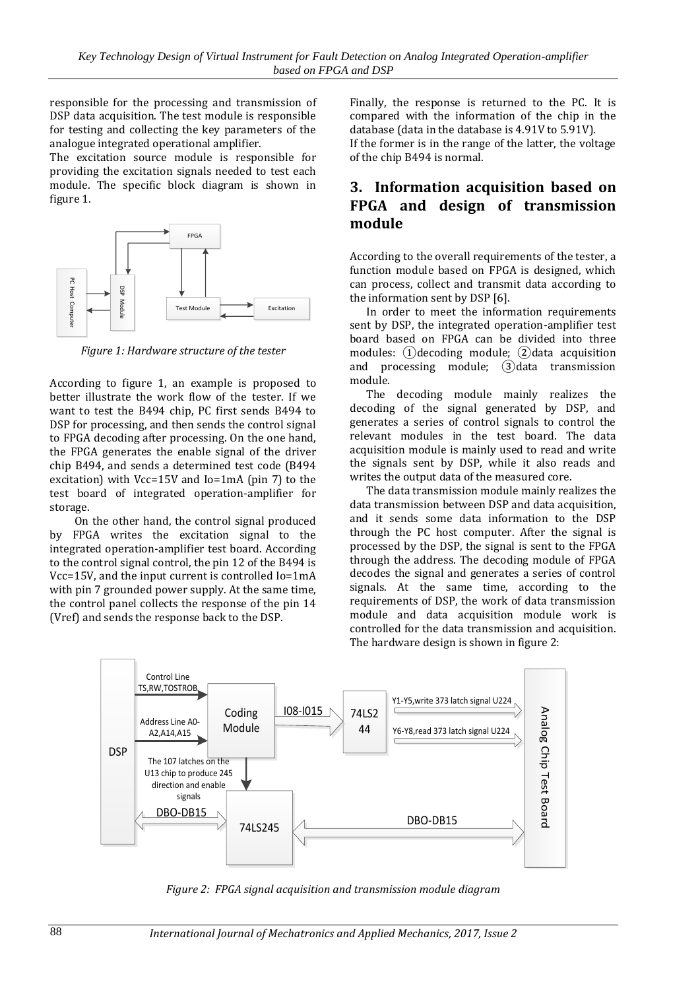responsible for the processing and transmission of DSP data acquisition. The test module is responsible for testing and collecting the key parameters of the analogue integrated operational amplifier.

The excitation source module is responsible for providing the excitation signals needed to test each module. The specific block diagram is shown in figure 1.



*Figure 1: Hardware structure of the tester*

According to figure 1, an example is proposed to better illustrate the work flow of the tester. If we want to test the B494 chip, PC first sends B494 to DSP for processing, and then sends the control signal to FPGA decoding after processing. On the one hand, the FPGA generates the enable signal of the driver chip B494, and sends a determined test code (B494 excitation) with Vcc=15V and Io=1mA (pin 7) to the test board of integrated operation-amplifier for storage.

On the other hand, the control signal produced by FPGA writes the excitation signal to the integrated operation-amplifier test board. According to the control signal control, the pin 12 of the B494 is Vcc=15V, and the input current is controlled Io=1mA with pin 7 grounded power supply. At the same time, the control panel collects the response of the pin 14 (Vref) and sends the response back to the DSP.

Finally, the response is returned to the PC. It is compared with the information of the chip in the database (data in the database is 4.91V to 5.91V). If the former is in the range of the latter, the voltage of the chip B494 is normal.

## **3. Information acquisition based on FPGA and design of transmission module**

According to the overall requirements of the tester, a function module based on FPGA is designed, which can process, collect and transmit data according to the information sent by DSP [6].

In order to meet the information requirements sent by DSP, the integrated operation-amplifier test board based on FPGA can be divided into three modules:  $(1)$  decoding module;  $(2)$  data acquisition and processing module; ③data transmission module.

The decoding module mainly realizes the decoding of the signal generated by DSP, and generates a series of control signals to control the relevant modules in the test board. The data acquisition module is mainly used to read and write the signals sent by DSP, while it also reads and writes the output data of the measured core.

The data transmission module mainly realizes the data transmission between DSP and data acquisition, and it sends some data information to the DSP through the PC host computer. After the signal is processed by the DSP, the signal is sent to the FPGA through the address. The decoding module of FPGA decodes the signal and generates a series of control signals. At the same time, according to the requirements of DSP, the work of data transmission module and data acquisition module work is controlled for the data transmission and acquisition. The hardware design is shown in figure 2:



*Figure 2: FPGA signal acquisition and transmission module diagram*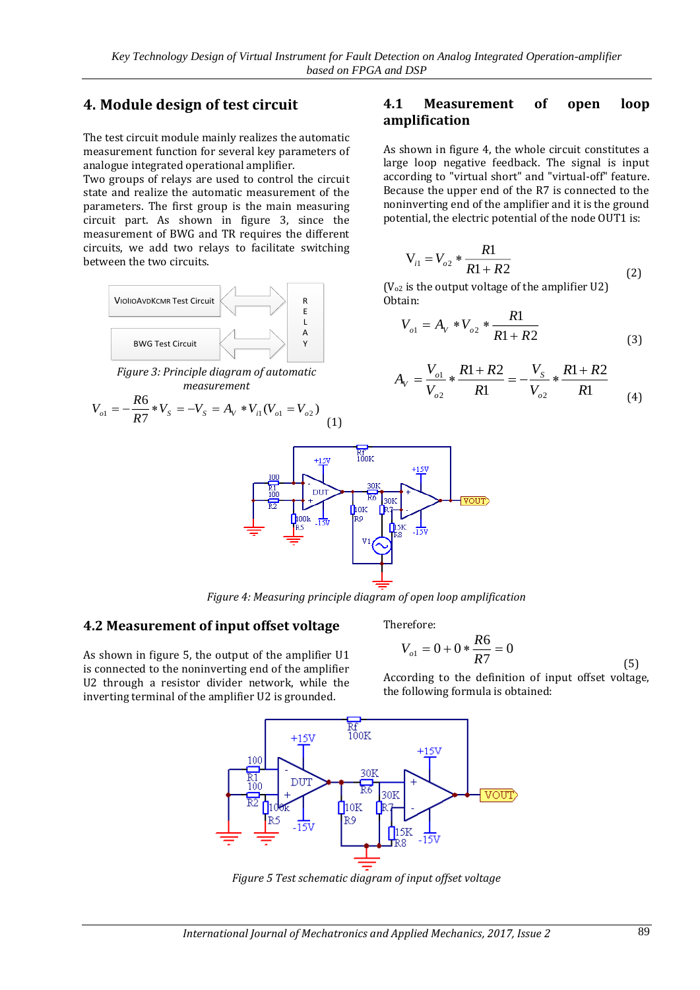## **4. Module design of test circuit**

The test circuit module mainly realizes the automatic measurement function for several key parameters of analogue integrated operational amplifier.

Two groups of relays are used to control the circuit state and realize the automatic measurement of the parameters. The first group is the main measuring circuit part. As shown in figure 3, since the measurement of BWG and TR requires the different circuits, we add two relays to facilitate switching between the two circuits.



*Figure 3: Principle diagram of automatic measurement*

$$
V_{o1} = -\frac{R6}{R7} * V_s = -V_s = A_v * V_{i1}(V_{o1} = V_{o2})
$$
\n(1)

### **4.1 Measurement of open loop amplification**

As shown in figure 4, the whole circuit constitutes a large loop negative feedback. The signal is input according to "virtual short" and "virtual-off" feature. Because the upper end of the R7 is connected to the noninverting end of the amplifier and it is the ground potential, the electric potential of the node OUT1 is:

$$
V_{i1} = V_{o2} * \frac{R1}{R1 + R2}
$$
 (2)

( $V<sub>o2</sub>$  is the output voltage of the amplifier U2) Obtain:

$$
V_{o1} = A_V * V_{o2} * \frac{R1}{R1 + R2}
$$
 (3)

$$
A_V = \frac{V_{o1}}{V_{o2}} * \frac{R1 + R2}{R1} = -\frac{V_s}{V_{o2}} * \frac{R1 + R2}{R1}
$$
 (4)



*Figure 4: Measuring principle diagram of open loop amplification*

#### **4.2 Measurement of input offset voltage**

As shown in figure 5, the output of the amplifier U1 is connected to the noninverting end of the amplifier U2 through a resistor divider network, while the inverting terminal of the amplifier U2 is grounded.

Therefore:

$$
V_{ol} = 0 + 0 * \frac{R6}{R7} = 0
$$
\n(5)

According to the definition of input offset voltage, the following formula is obtained:



*Figure 5 Test schematic diagram of input offset voltage*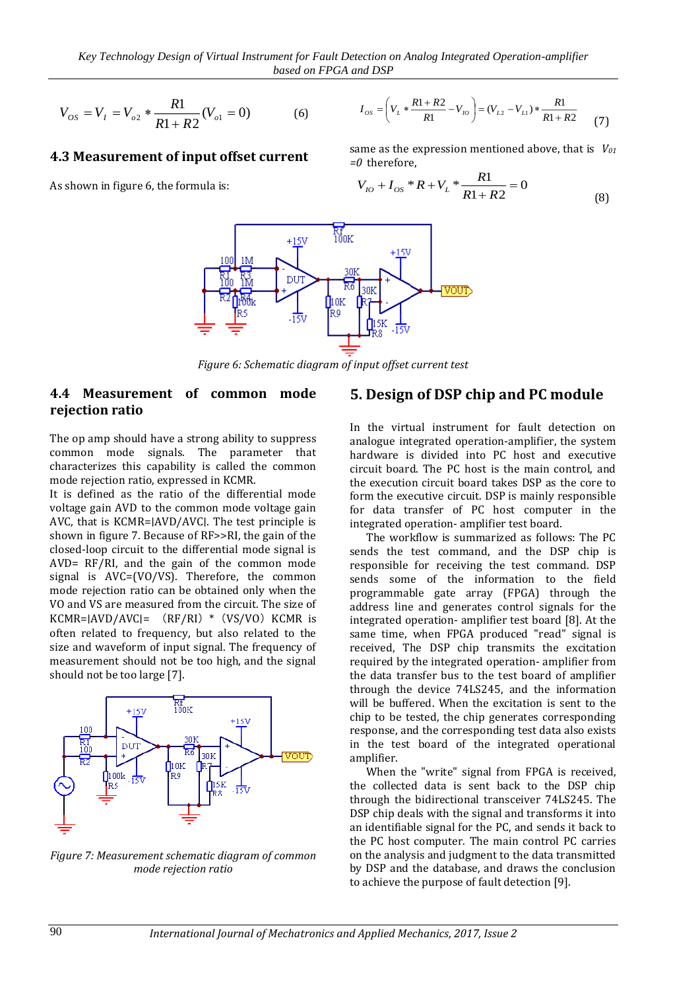$$
V_{OS} = V_I = V_{o2} * \frac{R1}{R1 + R2}(V_{o1} = 0)
$$
 (6)

#### **4.3 Measurement of input offset current**

As shown in figure 6, the formula is:

$$
I_{os} = \left(V_L * \frac{R1 + R2}{R1} - V_{io}\right) = (V_{L2} - V_{L1}) * \frac{R1}{R1 + R2}
$$
 (7)

same as the expression mentioned above, that is *V<sup>01</sup> =0* therefore,

$$
V_{IO} + I_{OS} * R + V_L * \frac{R1}{R1 + R2} = 0
$$
\n(8)



*Figure 6: Schematic diagram of input offset current test*

#### **4.4 Measurement of common mode rejection ratio**

The op amp should have a strong ability to suppress common mode signals. The parameter that characterizes this capability is called the common mode rejection ratio, expressed in KCMR.

It is defined as the ratio of the differential mode voltage gain AVD to the common mode voltage gain AVC, that is KCMR=∣AVD/AVC∣. The test principle is shown in figure 7. Because of RF>>RI, the gain of the closed-loop circuit to the differential mode signal is AVD= RF/RI, and the gain of the common mode signal is AVC=(VO/VS). Therefore, the common mode rejection ratio can be obtained only when the VO and VS are measured from the circuit. The size of KCMR= $|AVD/AVC| = (RF/RI) * (VS/VO) KCMR is$ often related to frequency, but also related to the size and waveform of input signal. The frequency of measurement should not be too high, and the signal should not be too large [7].



*Figure 7: Measurement schematic diagram of common mode rejection ratio*

#### **5. Design of DSP chip and PC module**

In the virtual instrument for fault detection on analogue integrated operation-amplifier, the system hardware is divided into PC host and executive circuit board. The PC host is the main control, and the execution circuit board takes DSP as the core to form the executive circuit. DSP is mainly responsible for data transfer of PC host computer in the integrated operation- amplifier test board.

The workflow is summarized as follows: The PC sends the test command, and the DSP chip is responsible for receiving the test command. DSP sends some of the information to the field programmable gate array (FPGA) through the address line and generates control signals for the integrated operation- amplifier test board [8]. At the same time, when FPGA produced "read" signal is received, The DSP chip transmits the excitation required by the integrated operation- amplifier from the data transfer bus to the test board of amplifier through the device 74LS245, and the information will be buffered. When the excitation is sent to the chip to be tested, the chip generates corresponding response, and the corresponding test data also exists in the test board of the integrated operational amplifier.

When the "write" signal from FPGA is received, the collected data is sent back to the DSP chip through the bidirectional transceiver 74LS245. The DSP chip deals with the signal and transforms it into an identifiable signal for the PC, and sends it back to the PC host computer. The main control PC carries on the analysis and judgment to the data transmitted by DSP and the database, and draws the conclusion to achieve the purpose of fault detection [9].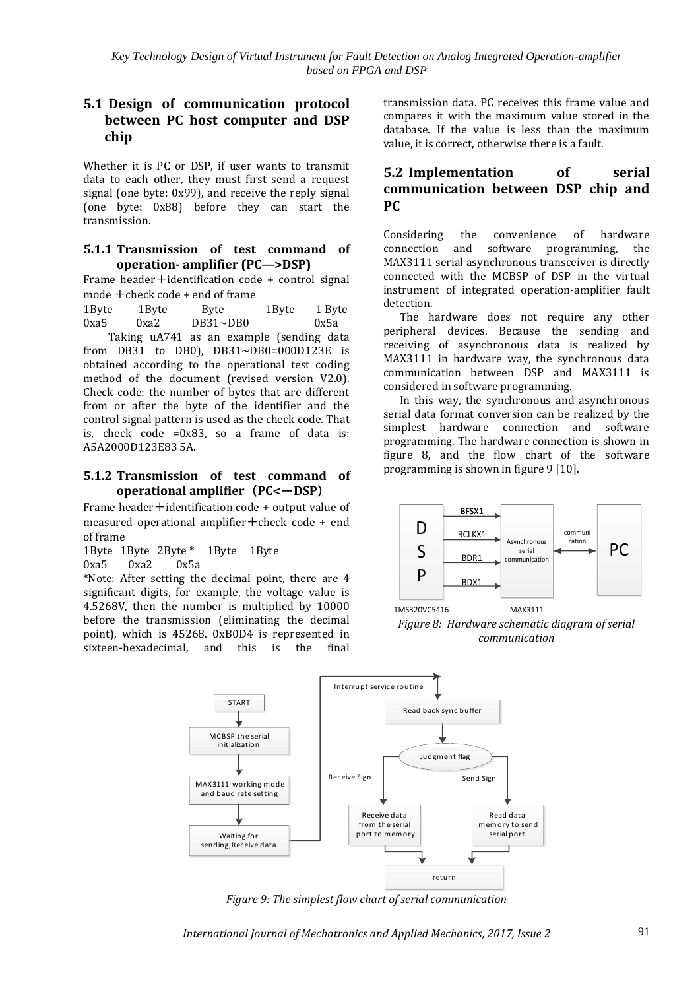### **5.1 Design of communication protocol between PC host computer and DSP chip**

Whether it is PC or DSP, if user wants to transmit data to each other, they must first send a request signal (one byte: 0x99), and receive the reply signal (one byte: 0x88) before they can start the transmission.

#### **5.1.1 Transmission of test command of operation- amplifier (PC—>DSP)**

Frame header+identification code + control signal mode +check code + end of frame

1Byte 1Byte Byte 1Byte 1 Byte 0xa5 0xa2 DB31~DB0 0x5a

Taking uA741 as an example (sending data from DB31 to DB0), DB31~DB0=000D123E is obtained according to the operational test coding method of the document (revised version V2.0). Check code: the number of bytes that are different from or after the byte of the identifier and the control signal pattern is used as the check code. That is, check code =0x83, so a frame of data is: A5A2000D123E83 5A.

#### **5.1.2 Transmission of test command of operational amplifier**(**PC<**-**DSP**)

Frame header+identification code + output value of measured operational amplifier  $+$  check code  $+$  end of frame

1Byte 1Byte 2Byte \* 1Byte 1Byte

0xa5 0xa2 0x5a

\*Note: After setting the decimal point, there are 4 significant digits, for example, the voltage value is 4.5268V, then the number is multiplied by 10000 before the transmission (eliminating the decimal point), which is 45268. 0xB0D4 is represented in sixteen-hexadecimal, and this is the final

transmission data. PC receives this frame value and compares it with the maximum value stored in the database. If the value is less than the maximum value, it is correct, otherwise there is a fault.

### **5.2 Implementation of serial communication between DSP chip and PC**

Considering the convenience of hardware connection and software programming, the MAX3111 serial asynchronous transceiver is directly connected with the MCBSP of DSP in the virtual instrument of integrated operation-amplifier fault detection.

The hardware does not require any other peripheral devices. Because the sending and receiving of asynchronous data is realized by MAX3111 in hardware way, the synchronous data communication between DSP and MAX3111 is considered in software programming.

In this way, the synchronous and asynchronous serial data format conversion can be realized by the simplest hardware connection and software programming. The hardware connection is shown in figure 8, and the flow chart of the software programming is shown in figure 9 [10].



*Figure 8: Hardware schematic diagram of serial communication*



*Figure 9: The simplest flow chart of serial communication*